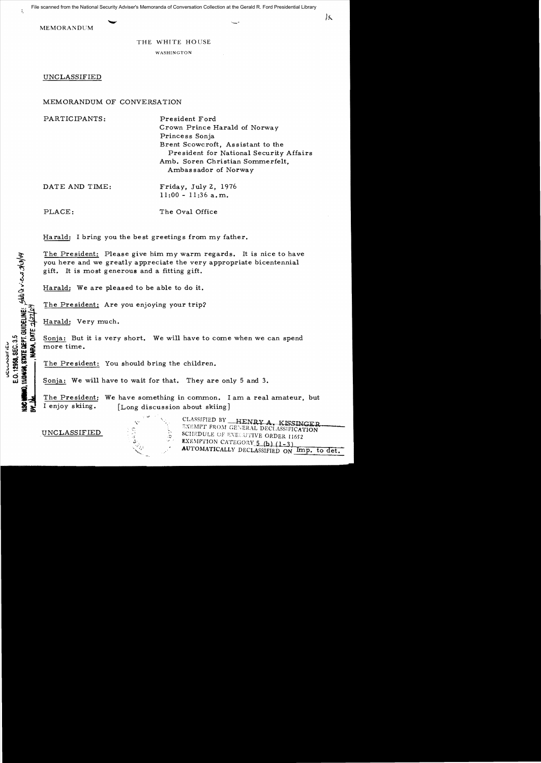**MEMORANDUM** 

 $\ddot{\cdot}$ 

#### THE WHITE HOUSE

WASHINGTON

UNCLASSIFIED

MEMORANDUM OF CONVERSATION

PARTICIPANTS:

President Ford Crown Prince Harald of Norway Princess Sonja Brent Scowcroft, Assistant to the President for National Security Affairs Amb. Soren Christian Sommerfelt, Ambassador of Norway

 $\mathcal{K}$ 

| DATE AND TIME: | Friday, July 2, 1976 |
|----------------|----------------------|
|                | $11:00 - 11:36$ a.m. |
|                |                      |

PLACE:

**THRASS, STATE DEPT. GUIDELINE:** Statish views 240/04

E.O. 12958, SEC. 3.5

ブロフィインソニ ニワイ

The Oval Office

Harald: I bring you the best greetings from my father.

The President: Please give him my warm regards. It is nice to have you here and we greatly appreciate the very appropriate bicentennial gift. It is most generous and a fitting gift.

Harald: We are pleased to be able to do it.

The President: Are you enjoying your trip?

Harald: Very much.

Sonja: But it is very short. We will have to come when we can spend more time.

The President: You should bring the children.

Sonja: We will have to wait for that. They are only 5 and 3.

The President: We have something in common. I am a real amateur, but I enjoy skiing. [Long discussion about skiing]

UNCLASSIFIED

CLASSIFIED BY HENRY A. KISSINGER EXEMPT FROM GENERAL DECLASSIFICATION SCHEDULE OF EXECUTIVE ORDER 11652 EXEMPTION CATEGORY 5 (b)  $(1-3)$ AUTOMATICALLY DECLASSIFIED ON Imp. to det.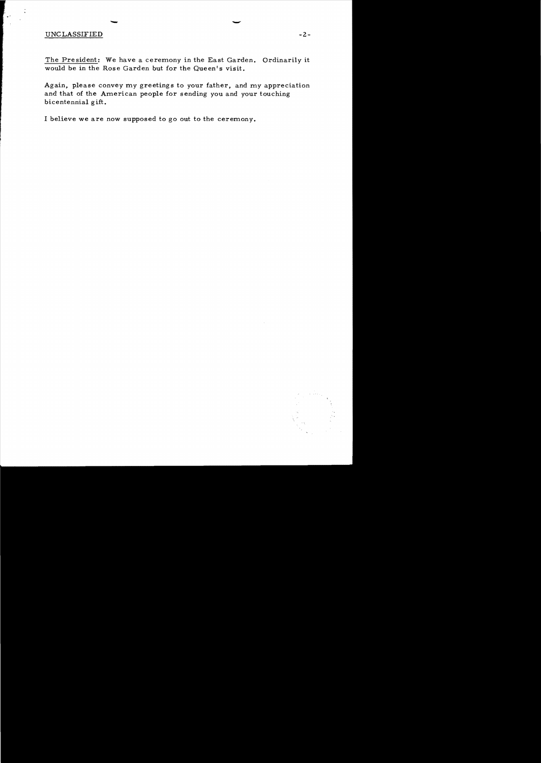# - - UNCLASSIFIED **-2**

The President: We have a ceremony in the East Garden. Ordinarily it would be in the Rose Garden but for the Queen's visit.

Again, please convey my greetings to your father, and my appreciation and that of the American people for sending you and your touching bicentennial gift.

I believe we are now supposed to go out to the ceremony.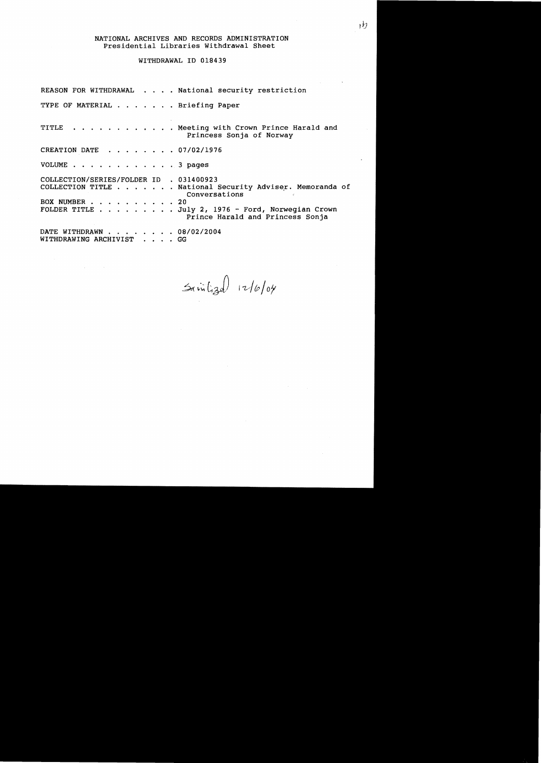## NATIONAL ARCHIVES AND RECORDS ADMINISTRATION Presidential Libraries Withdrawal Sheet

# WITHDRAWAL ID 018439

REASON FOR WITHDRAWAL . . . . National security restriction TYPE OF MATERIAL . . . . . . Briefing Paper TITLE . . . . . . . . . . . Meeting with Crown Prince Harald and Princess Sonja of Norway CREATION DATE  $\cdot \cdot \cdot \cdot \cdot \cdot 07/02/1976$ VOLUME . . . . . . . . . . . . 3 pages COLLECTION/SERIES/FOLDER ID . 031400923 COLLECTION TITLE . . . . . . National Security Adviser. Memoranda of Conversations<br>20 BOX NUMBER . . . . . FOLDER TITLE . . • **July** 2, 1976 - Ford, Norwegian Crown Prince Harald and Princess Sonja DATE WITHDRAWN . . . . . *08/02/2004*  WITHDRAWING ARCHIVIST . . . . GG

 $sin(2d)$   $12/6/04$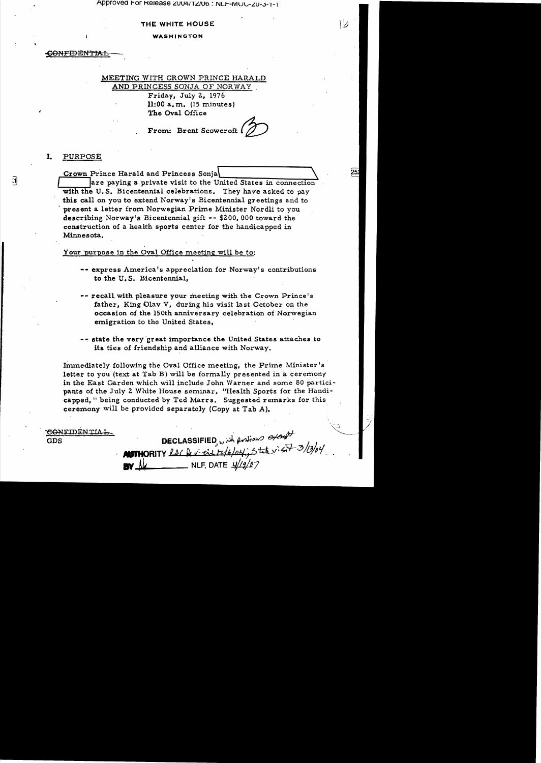Approved For Release 2004/12/06 : NLF-MUC-20-3-1-1

#### THE WHITE HOUSE

WASHINGTON

## <del>-CONFIDENTIAL</del>

# MEETING WITH CROWN PRINCE HARALD AND PRINCESS SONJA OF NORWAY

Friday, July 2, 1976  $11:00$  a.m. (15 minutes) The Oval Office

From: Brent Scowcroft

25.

#### $\mathbf{I}$ PURPOSE

**ONEIDE** 

GDS

.1

Crown Prince Harald and Princess Sonja

are paying a private visit to the United States in connection with the U.S. Bicentennial celebrations. They have asked to pay this call on you to extend Norway's Bicentennial greetings and to present a letter from Norwegian Prime Minister Nordli to you describing Norway's Bicentennial gift -- \$200,000 toward the construction of a health sports center for the handicapped in Minnesota,

Your purpose in the Oval Office meeting will be to:

- -- express America's appreciation for Norway's contributions to the U.S. Bicentennial,
- -- recall with pleasure your meeting with the Crown Prince's father, King Olav V, during his visit last October on the occasion of the 150th anniversary celebration of Norwegian emigration to the United States,
- -- state the very great importance the United States attaches to its ties of friendship and alliance with Norway.

Immediately following the Oval Office meeting, the Prime Minister's letter to you (text at Tab B) will be formally presented in a ceremony in the East Garden which will include John Warner and some 80 participants of the July 2 White House seminar, "Health Sports for the Handicapped," being conducted by Ted Marrs. Suggested remarks for this ceremony will be provided separately (Copy at Tab A).

| DECLASSIFIED, with positions exempt                    |
|--------------------------------------------------------|
| <b>NUTHORITY</b> PACK view re/6/04;5tate visit 3/13/04 |
| $\frac{1}{2}$ NLF, DATE $\frac{1}{2}$ /2/              |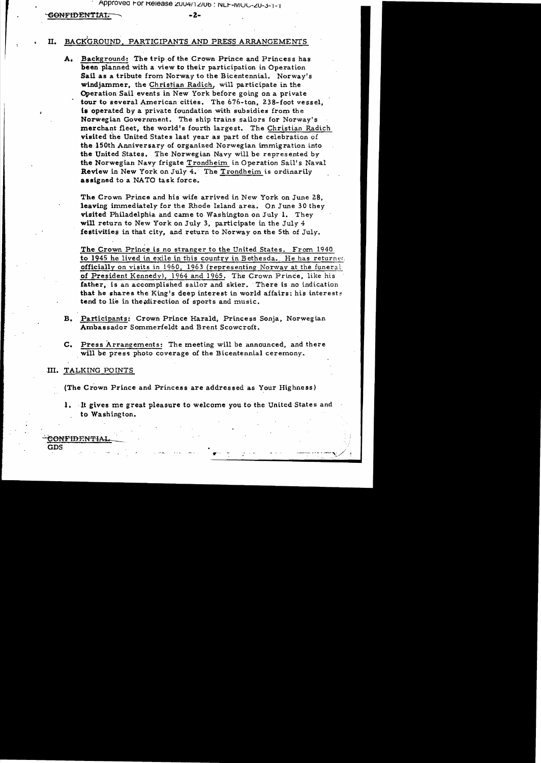Approved For Release 2004/12/06: NLF-MOG-20-3-1-1

#### **GONFIDENTIAL**

 $-2-$ 

#### BACKGROUND. PARTICIPANTS AND PRESS ARRANGEMENTS II.

A. Background: The trip of the Crown Prince and Princess has been planned with a view to their participation in Operation Sail as a tribute from Norway to the Bicentennial. Norway's windjammer, the Christian Radich, will participate in the Operation Sail events in New York before going on a private tour to several American cities. The 676-ton. 238-foot vessel. is operated by a private foundation with subsidies from the Norwegian Government. The ship trains sailors for Norway's merchant fleet, the world's fourth largest. The Christian Radich visited the United States last year as part of the celebration of the 150th Anniversary of organized Norwegian immigration into the United States. The Norwegian Navy will be represented by the Norwegian Navy frigate Trondheim in Operation Sail's Naval Review in New York on July 4. The Trondheim is ordinarily assigned to a NATO task force.

The Crown Prince and his wife arrived in New York on June 28, leaving immediately for the Rhode Island area. On June 30 they visited Philadelphia and came to Washington on July 1. They will return to New York on July 3, participate in the July 4 festivities in that city, and return to Norway on the 5th of July.

The Crown Prince is no stranger to the United States. From 1940 to 1945 he lived in exile in this country in Bethesda. He has returned officially on visits in 1960, 1963 (representing Norway at the funeral of President Kennedy), 1964 and 1965. The Crown Prince, like his father, is an accomplished sailor and skier. There is no indication that he shares the King's deep interest in world affairs; his interests tend to lie in the direction of sports and music.

- B. Participants: Crown Prince Harald. Princess Sonja. Norwegian Ambassador Sommerfeldt and Brent Scowcroft.
- Press Arrangements: The meeting will be announced, and there  $\mathbf{C}_{\bullet}$ will be press photo coverage of the Bicentennial ceremony.

#### III. TALKING POINTS

(The Crown Prince and Princess are addressed as Your Highness)

1. It gives me great pleasure to welcome you to the United States and to Washington.

**ONFIDENTIAL** cns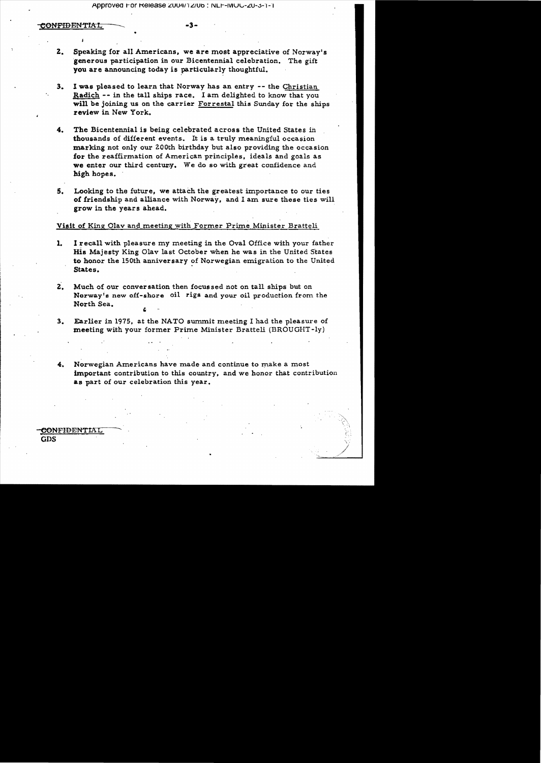•

CONFIDENTIAL

- 2. Speaking for all Americans, we are most appreciative of Norway's generous participation in our Bicentennial celebration. The gift you are announcing today is particularly thoughtful.
- 3. I was pleased to learn that Norway has an entry -- the Christian Radich -- in the tall ships race. I am delighted to know that you will be joining us on the carrier Forrestal this Sunday for the ships review in New York.
- 4. The Bicentennial is being celebrated across the United States in thousands of different events.. It is a truly meaningful occasion marking not only our 200th birthday but also providing the occasion for the reaffirmation of American principles. ideals and goals as we enter our third century. We do so with great confidence and high hopes.
- 5. Looking to the future, we attach the greatest importance to our ties of friendship and alliance with Norway, and I am sure these ties will grow in the years ahead.

# Visit of King Olav and meeting with Former Prime Minister Bratteli

- 1. I recall with pleasure my meeting in the Oval Office with your father His Majesty King Olav last October when he was in the United States to honor the 150th anniversary of Norwegian emigration to the United States.
- z. Much of our conversation then focussed not on tall ships but on Norway's new off-shore oil rigs and your oil production from the North Sea.
- 3. Earlier in 1975, at the NATO summit meeting I had the pleasure of meeting with your former Prime Minister Bratteli (BROUGHT-Iy)
- 4. Norwegian Americans have made and continue to make a most important contribution to this country, and we honor that contribution as part of our celebration this year.

..~ ,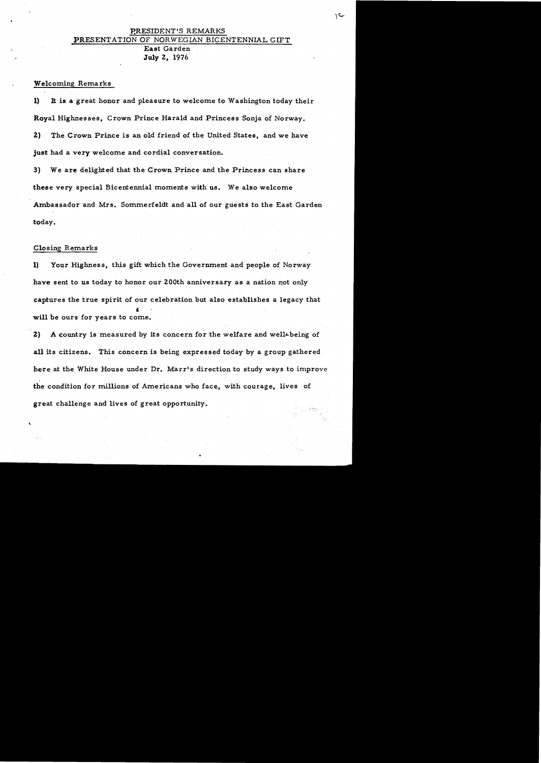# PRESIDENT'S REMARKS PRESENTATION OF NORWEGIAN BICENTENNIAL GIFT East Garden. July 2, 1976

# Welcoming Remarks

1) It is a great honor and pleasure to welcome to Washington today their Royal Highnesses, Crown Prince Harald and Princess Sonja of Norway. 2) The Crown Prince is an old friend of the United States, and we have just had a very welcome and cordial conversation.

3) We are delighted that the Crown Prince and the Princess can share these very special Bicentennial moments with us. We also welcome Ambassador and Mrs. Sommerfeldt and all of our guests to the East Garden today.

#### Closing Remarks

1) Your Highness, this gift which the Government and people of Norway have sent to us today to honor our 200th anniversary as a nation not only captures the true spirit of our celebration but also establishes a legacy that , will be ours for years to come.

2) A country is measured by its concern for the welfare and well $\star$  being of all its citizens. This concern is being expressed today by a group gathered here at the White House under Dr. Marr's direction to study ways to improve the condition for millions of Americans who face, with courage, lives of great challenge and lives of great opportunity.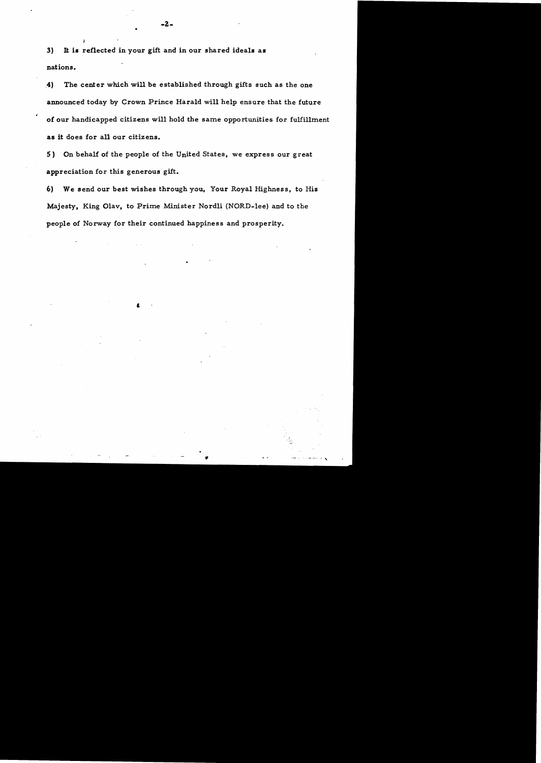3) It is reflected in your gift and in our shared ideals as nations.

•

.4) The center which will be established through gifts such as the one announced today by Crown Prince Harald will help ensure that the future of our handicapped citizens will hold the same opportunities for fulfillment as it does for all our citizens.

5) On behalf of the people of the United States, we express our great appreciation for this generous gift.

6) We send our best wishes through you, Your Royal Highness, to His Majesty, King Olav, to Prime Minister Nordli (NORD-lee) and to the people of Norway for their continued happiness and prosperity.

,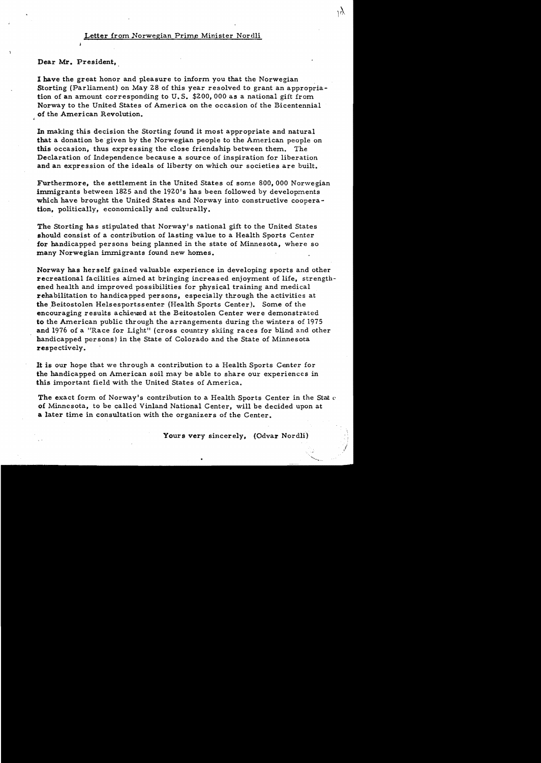# Letter from Norwegian Primp Minister Nordli

#### Dear Mr. President,

I have the great honor and pleasure to inform you that the Norwegian Storting (Parliament) on May 28 of this year resolved to grant an appropriation of an amount corresponding to U. S. \$200,000 as a national gift from Norway to the United States of America on the occasion of the Bicentennial of the American Revolution.

In making this decision the Storting found it most appropriate and natural that a donation be given by the Norwegian people to the American people on this occasion, thus expressing the close friendship between them. The Declaration of Independence because a source of inspiration for liberation and an expression of the ideals of liberty on which our societies are built.

Furthermore, the settlement in the United States of some 800, 000 Norwegian immigrants between 1825 and the 1920's has been followed by developments which have brought the United States and Norway into constructive cooperation, politically, economically and culturally.

The Storting has stipulated that Norway's national gift to the United States should consist of a contribution of lasting value to a Health Sports Center for handicapped persons being planned in the state of Minnesota, where so many Norwegian immigrants found new homes.

Norway has herself gained valuable experience in developing sports and other recreational facilities aimed at bringing increased enjoyment of life, strengthened health and improved possibilities for physical training and medical rehabilitation to handicapped persons, especially through the activities at the Beitostolen Helsesportssenter (Health Sports Center). Some of the encouraging results achieved at the Beitostolen Center were demonstrated to the American public through the arrangements during the winters of 1975 and 1976 of a "Race for Light" (cross country skiing races for blind and other handicapped persons) in the State of Colorado and the State of Minnesota respectively.

It is our hope that we through a contribution to a Health Sports Center for the handicapped on American soil may be able to share our experiences in this important field with the United States of America.

The exact form of Norway's contribution to a Health Sports Center in the Stat c of Minnesota, to be called Vinland National Center, will be decided upon at a later time in consultation with the organizers of the Center.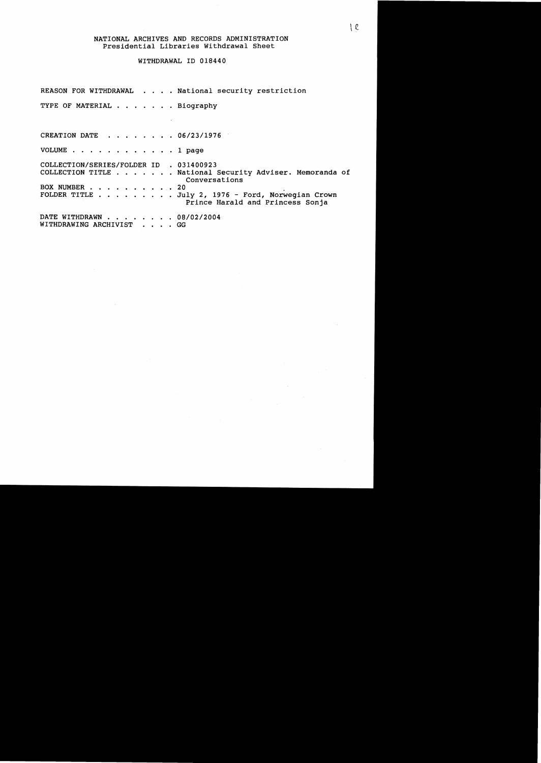## NATIONAL ARCHIVES AND RECORDS ADMINISTRATION Presidential Libraries Withdrawal Sheet

# WITHDRAWAL ID 018440

REASON FOR WITHDRAWAL . . . . National security restriction TYPE OF MATERIAL . . . . . . Biography CREATION DATE  $\cdot \cdot \cdot \cdot \cdot \cdot 06/23/1976$ 

VOLUME . . . . . . . . . . . . 1 page

COLLECTION/SERIES/FOLDER ID . 031400923 COLLECTION TITLE . . • .. National Security Adviser. Memoranda of Conversations BOX NUMBER . . . . . . . . . . 20 FOLDER TITLE ....•. July 2, 1976 - Ford, Norwegian Crown Prince Harald and Princess Sonja DATE WITHDRAWN . . . . . . . 08/02/2004 WITHDRAWING ARCHIVIST . • . . GG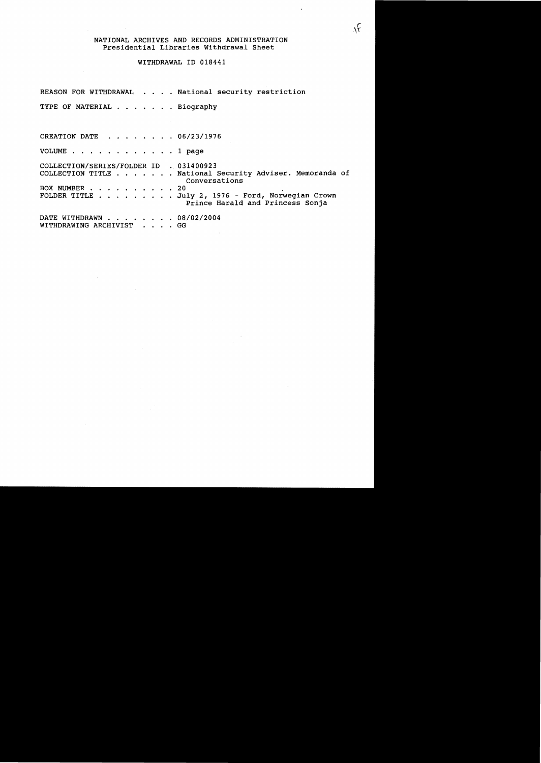#### NATIONAL ARCHIVES AND RECORDS ADMINISTRATION Presidential Libraries Withdrawal Sheet

# WITHDRAWAL ID 018441

REASON FOR WITHDRAWAL . . . . National security restriction TYPE OF MATERIAL . . . . . . Biography CREATION DATE  $\ldots$   $\ldots$   $\ldots$  06/23/1976

VOLUME . . . . . . . . . . . . 1 page

COLLECTION/SERIES/FOLDER ID . 031400923 COLLECTION TITLE . . . . . . National Security Adviser. Memoranda of Conversations BOX NUMBER . . . . . . . . . . 20 FOLDER TITLE . . . . . .. July 2, 1976 - Ford, Norwegian Crown Prince Harald and Princess Sonja DATE WITHDRAWN . . . . . . . 08/02/2004 WITHDRAWING ARCHIVIST . . GG